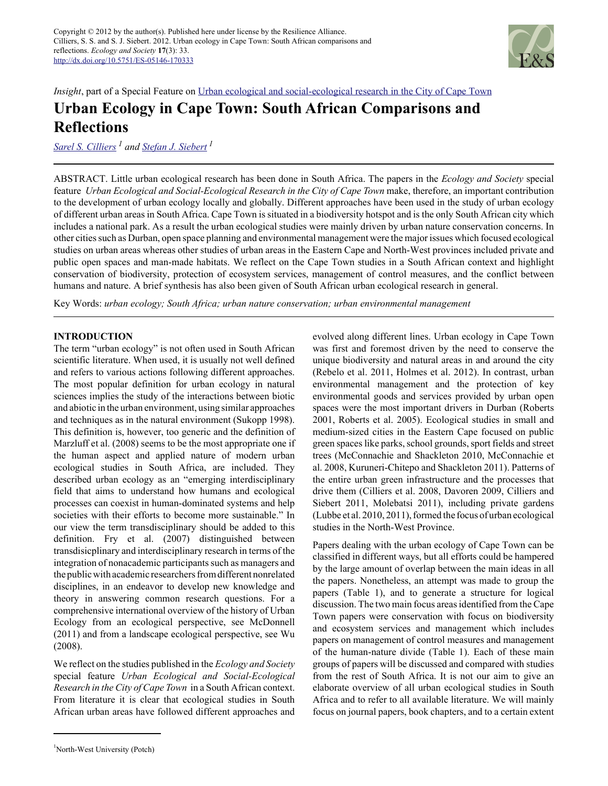

*Insight*, part of a Special Feature on Urban ecological and social-ecological research in the City of Cape Town

# **Urban Ecology in Cape Town: South African Comparisons and Reflections**

*Sarel S. Cilliers 1 and Stefan J. Siebert<sup>1</sup>*

ABSTRACT. Little urban ecological research has been done in South Africa. The papers in the *Ecology and Society* special feature *Urban Ecological and Social-Ecological Research in the City of Cape Town* make, therefore, an important contribution to the development of urban ecology locally and globally. Different approaches have been used in the study of urban ecology of different urban areas in South Africa. Cape Town is situated in a biodiversity hotspot and is the only South African city which includes a national park. As a result the urban ecological studies were mainly driven by urban nature conservation concerns. In other cities such as Durban, open space planning and environmental management were the major issues which focused ecological studies on urban areas whereas other studies of urban areas in the Eastern Cape and North-West provinces included private and public open spaces and man-made habitats. We reflect on the Cape Town studies in a South African context and highlight conservation of biodiversity, protection of ecosystem services, management of control measures, and the conflict between humans and nature. A brief synthesis has also been given of South African urban ecological research in general.

Key Words: *urban ecology; South Africa; urban nature conservation; urban environmental management*

# **INTRODUCTION**

The term "urban ecology" is not often used in South African scientific literature. When used, it is usually not well defined and refers to various actions following different approaches. The most popular definition for urban ecology in natural sciences implies the study of the interactions between biotic and abiotic in the urban environment, using similar approaches and techniques as in the natural environment (Sukopp 1998). This definition is, however, too generic and the definition of Marzluff et al. (2008) seems to be the most appropriate one if the human aspect and applied nature of modern urban ecological studies in South Africa, are included. They described urban ecology as an "emerging interdisciplinary field that aims to understand how humans and ecological processes can coexist in human-dominated systems and help societies with their efforts to become more sustainable." In our view the term transdisciplinary should be added to this definition. Fry et al. (2007) distinguished between transdisicplinary and interdisciplinary research in terms of the integration of nonacademic participants such as managers and the public with academic researchers from different nonrelated disciplines, in an endeavor to develop new knowledge and theory in answering common research questions. For a comprehensive international overview of the history of Urban Ecology from an ecological perspective, see McDonnell (2011) and from a landscape ecological perspective, see Wu (2008).

We reflect on the studies published in the *Ecology and Society* special feature *Urban Ecological and Social-Ecological Research in the City of Cape Town* in a South African context. From literature it is clear that ecological studies in South African urban areas have followed different approaches and

<sup>1</sup>North-West University (Potch)

evolved along different lines. Urban ecology in Cape Town was first and foremost driven by the need to conserve the unique biodiversity and natural areas in and around the city (Rebelo et al. 2011, Holmes et al. 2012). In contrast, urban environmental management and the protection of key environmental goods and services provided by urban open spaces were the most important drivers in Durban (Roberts 2001, Roberts et al. 2005). Ecological studies in small and medium-sized cities in the Eastern Cape focused on public green spaces like parks, school grounds, sport fields and street trees (McConnachie and Shackleton 2010, McConnachie et al. 2008, Kuruneri-Chitepo and Shackleton 2011). Patterns of the entire urban green infrastructure and the processes that drive them (Cilliers et al. 2008, Davoren 2009, Cilliers and Siebert 2011, Molebatsi 2011), including private gardens (Lubbe et al. 2010, 2011), formed the focus of urban ecological studies in the North-West Province.

Papers dealing with the urban ecology of Cape Town can be classified in different ways, but all efforts could be hampered by the large amount of overlap between the main ideas in all the papers. Nonetheless, an attempt was made to group the papers (Table 1), and to generate a structure for logical discussion. The two main focus areas identified from the Cape Town papers were conservation with focus on biodiversity and ecosystem services and management which includes papers on management of control measures and management of the human-nature divide (Table 1). Each of these main groups of papers will be discussed and compared with studies from the rest of South Africa. It is not our aim to give an elaborate overview of all urban ecological studies in South Africa and to refer to all available literature. We will mainly focus on journal papers, book chapters, and to a certain extent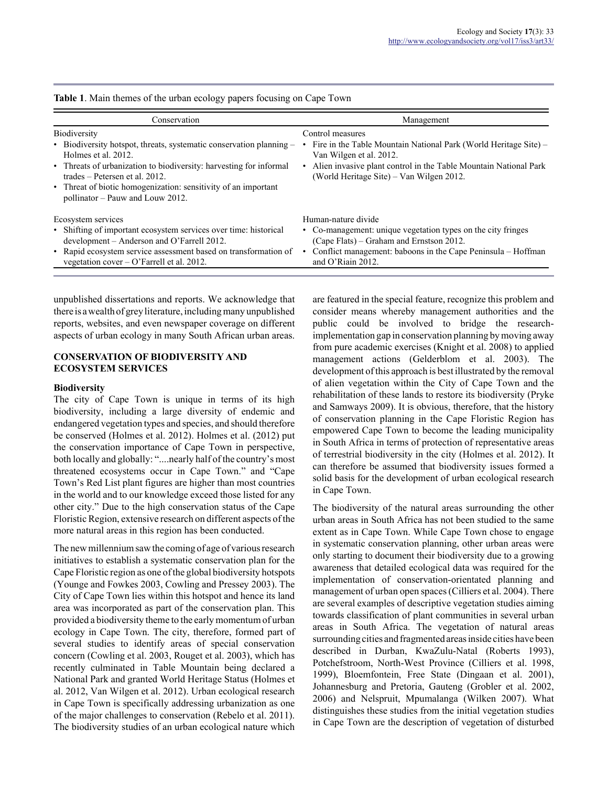| Conservation                                                                                                                                                                                                                                                                                                                    | Management                                                                                                                                                                                                                      |
|---------------------------------------------------------------------------------------------------------------------------------------------------------------------------------------------------------------------------------------------------------------------------------------------------------------------------------|---------------------------------------------------------------------------------------------------------------------------------------------------------------------------------------------------------------------------------|
| <b>Biodiversity</b><br>• Biodiversity hotspot, threats, systematic conservation planning –<br>Holmes et al. 2012.<br>• Threats of urbanization to biodiversity: harvesting for informal<br>trades – Petersen et al. 2012.<br>• Threat of biotic homogenization: sensitivity of an important<br>pollinator - Pauw and Louw 2012. | Control measures<br>Fire in the Table Mountain National Park (World Heritage Site) –<br>Van Wilgen et al. 2012.<br>Alien invasive plant control in the Table Mountain National Park<br>(World Heritage Site) – Van Wilgen 2012. |
| Ecosystem services<br>• Shifting of important ecosystem services over time: historical<br>development – Anderson and O'Farrell 2012.<br>• Rapid ecosystem service assessment based on transformation of<br>vegetation cover $-$ O'Farrell et al. 2012.                                                                          | Human-nature divide<br>• Co-management: unique vegetation types on the city fringes<br>(Cape Flats) – Graham and Ernstson 2012.<br>Conflict management: baboons in the Cape Peninsula – Hoffman<br>and O'Riain 2012.            |

**Table 1**. Main themes of the urban ecology papers focusing on Cape Town

unpublished dissertations and reports. We acknowledge that there is a wealth of grey literature, including many unpublished reports, websites, and even newspaper coverage on different aspects of urban ecology in many South African urban areas.

## **CONSERVATION OF BIODIVERSITY AND ECOSYSTEM SERVICES**

#### **Biodiversity**

The city of Cape Town is unique in terms of its high biodiversity, including a large diversity of endemic and endangered vegetation types and species, and should therefore be conserved (Holmes et al. 2012). Holmes et al. (2012) put the conservation importance of Cape Town in perspective, both locally and globally: "....nearly half of the country's most threatened ecosystems occur in Cape Town." and "Cape Town's Red List plant figures are higher than most countries in the world and to our knowledge exceed those listed for any other city." Due to the high conservation status of the Cape Floristic Region, extensive research on different aspects of the more natural areas in this region has been conducted.

The new millennium saw the coming of age of various research initiatives to establish a systematic conservation plan for the Cape Floristic region as one of the global biodiversity hotspots (Younge and Fowkes 2003, Cowling and Pressey 2003). The City of Cape Town lies within this hotspot and hence its land area was incorporated as part of the conservation plan. This provided a biodiversity theme to the early momentum of urban ecology in Cape Town. The city, therefore, formed part of several studies to identify areas of special conservation concern (Cowling et al. 2003, Rouget et al. 2003), which has recently culminated in Table Mountain being declared a National Park and granted World Heritage Status (Holmes et al. 2012, Van Wilgen et al. 2012). Urban ecological research in Cape Town is specifically addressing urbanization as one of the major challenges to conservation (Rebelo et al. 2011). The biodiversity studies of an urban ecological nature which

are featured in the special feature, recognize this problem and consider means whereby management authorities and the public could be involved to bridge the researchimplementation gap in conservation planning by moving away from pure academic exercises (Knight et al. 2008) to applied management actions (Gelderblom et al. 2003). The development of this approach is best illustrated by the removal of alien vegetation within the City of Cape Town and the rehabilitation of these lands to restore its biodiversity (Pryke and Samways 2009). It is obvious, therefore, that the history of conservation planning in the Cape Floristic Region has empowered Cape Town to become the leading municipality in South Africa in terms of protection of representative areas of terrestrial biodiversity in the city (Holmes et al. 2012). It can therefore be assumed that biodiversity issues formed a solid basis for the development of urban ecological research in Cape Town.

The biodiversity of the natural areas surrounding the other urban areas in South Africa has not been studied to the same extent as in Cape Town. While Cape Town chose to engage in systematic conservation planning, other urban areas were only starting to document their biodiversity due to a growing awareness that detailed ecological data was required for the implementation of conservation-orientated planning and management of urban open spaces (Cilliers et al. 2004). There are several examples of descriptive vegetation studies aiming towards classification of plant communities in several urban areas in South Africa. The vegetation of natural areas surrounding cities and fragmented areas inside cities have been described in Durban, KwaZulu-Natal (Roberts 1993), Potchefstroom, North-West Province (Cilliers et al. 1998, 1999), Bloemfontein, Free State (Dingaan et al. 2001), Johannesburg and Pretoria, Gauteng (Grobler et al. 2002, 2006) and Nelspruit, Mpumalanga (Wilken 2007). What distinguishes these studies from the initial vegetation studies in Cape Town are the description of vegetation of disturbed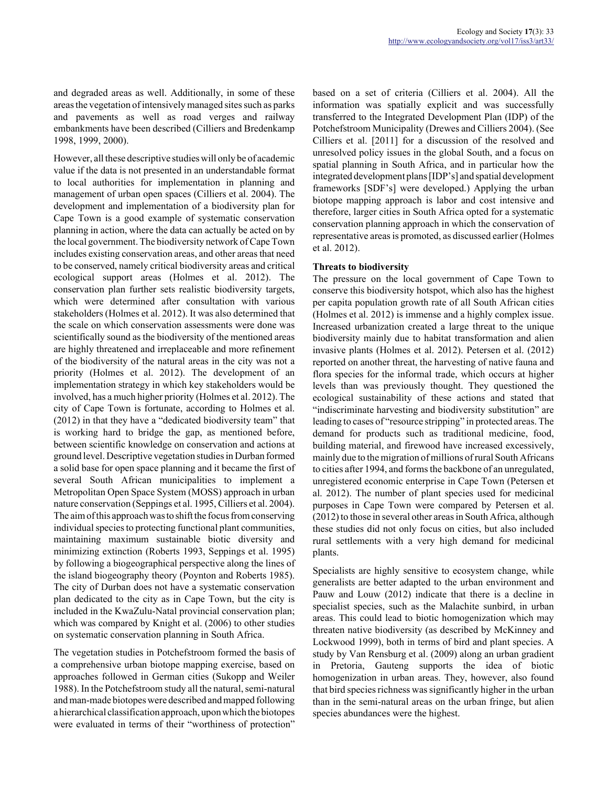and degraded areas as well. Additionally, in some of these areas the vegetation of intensively managed sites such as parks and pavements as well as road verges and railway embankments have been described (Cilliers and Bredenkamp 1998, 1999, 2000).

However, all these descriptive studies will only be of academic value if the data is not presented in an understandable format to local authorities for implementation in planning and management of urban open spaces (Cilliers et al. 2004). The development and implementation of a biodiversity plan for Cape Town is a good example of systematic conservation planning in action, where the data can actually be acted on by the local government. The biodiversity network of Cape Town includes existing conservation areas, and other areas that need to be conserved, namely critical biodiversity areas and critical ecological support areas (Holmes et al. 2012). The conservation plan further sets realistic biodiversity targets, which were determined after consultation with various stakeholders (Holmes et al. 2012). It was also determined that the scale on which conservation assessments were done was scientifically sound as the biodiversity of the mentioned areas are highly threatened and irreplaceable and more refinement of the biodiversity of the natural areas in the city was not a priority (Holmes et al. 2012). The development of an implementation strategy in which key stakeholders would be involved, has a much higher priority (Holmes et al. 2012). The city of Cape Town is fortunate, according to Holmes et al. (2012) in that they have a "dedicated biodiversity team" that is working hard to bridge the gap, as mentioned before, between scientific knowledge on conservation and actions at ground level. Descriptive vegetation studies in Durban formed a solid base for open space planning and it became the first of several South African municipalities to implement a Metropolitan Open Space System (MOSS) approach in urban nature conservation (Seppings et al. 1995, Cilliers et al. 2004). The aim of this approach was to shift the focus from conserving individual species to protecting functional plant communities, maintaining maximum sustainable biotic diversity and minimizing extinction (Roberts 1993, Seppings et al. 1995) by following a biogeographical perspective along the lines of the island biogeography theory (Poynton and Roberts 1985). The city of Durban does not have a systematic conservation plan dedicated to the city as in Cape Town, but the city is included in the KwaZulu-Natal provincial conservation plan; which was compared by Knight et al. (2006) to other studies on systematic conservation planning in South Africa.

The vegetation studies in Potchefstroom formed the basis of a comprehensive urban biotope mapping exercise, based on approaches followed in German cities (Sukopp and Weiler 1988). In the Potchefstroom study all the natural, semi-natural and man-made biotopes were described and mapped following a hierarchical classification approach, upon which the biotopes were evaluated in terms of their "worthiness of protection" based on a set of criteria (Cilliers et al. 2004). All the information was spatially explicit and was successfully transferred to the Integrated Development Plan (IDP) of the Potchefstroom Municipality (Drewes and Cilliers 2004). (See Cilliers et al. [2011] for a discussion of the resolved and unresolved policy issues in the global South, and a focus on spatial planning in South Africa, and in particular how the integrated development plans [IDP's] and spatial development frameworks [SDF's] were developed.) Applying the urban biotope mapping approach is labor and cost intensive and therefore, larger cities in South Africa opted for a systematic conservation planning approach in which the conservation of representative areas is promoted, as discussed earlier (Holmes et al. 2012).

## **Threats to biodiversity**

The pressure on the local government of Cape Town to conserve this biodiversity hotspot, which also has the highest per capita population growth rate of all South African cities (Holmes et al. 2012) is immense and a highly complex issue. Increased urbanization created a large threat to the unique biodiversity mainly due to habitat transformation and alien invasive plants (Holmes et al. 2012). Petersen et al. (2012) reported on another threat, the harvesting of native fauna and flora species for the informal trade, which occurs at higher levels than was previously thought. They questioned the ecological sustainability of these actions and stated that "indiscriminate harvesting and biodiversity substitution" are leading to cases of "resource stripping" in protected areas. The demand for products such as traditional medicine, food, building material, and firewood have increased excessively, mainly due to the migration of millions of rural South Africans to cities after 1994, and forms the backbone of an unregulated, unregistered economic enterprise in Cape Town (Petersen et al. 2012). The number of plant species used for medicinal purposes in Cape Town were compared by Petersen et al. (2012) to those in several other areas in South Africa, although these studies did not only focus on cities, but also included rural settlements with a very high demand for medicinal plants.

Specialists are highly sensitive to ecosystem change, while generalists are better adapted to the urban environment and Pauw and Louw (2012) indicate that there is a decline in specialist species, such as the Malachite sunbird, in urban areas. This could lead to biotic homogenization which may threaten native biodiversity (as described by McKinney and Lockwood 1999), both in terms of bird and plant species. A study by Van Rensburg et al. (2009) along an urban gradient in Pretoria, Gauteng supports the idea of biotic homogenization in urban areas. They, however, also found that bird species richness was significantly higher in the urban than in the semi-natural areas on the urban fringe, but alien species abundances were the highest.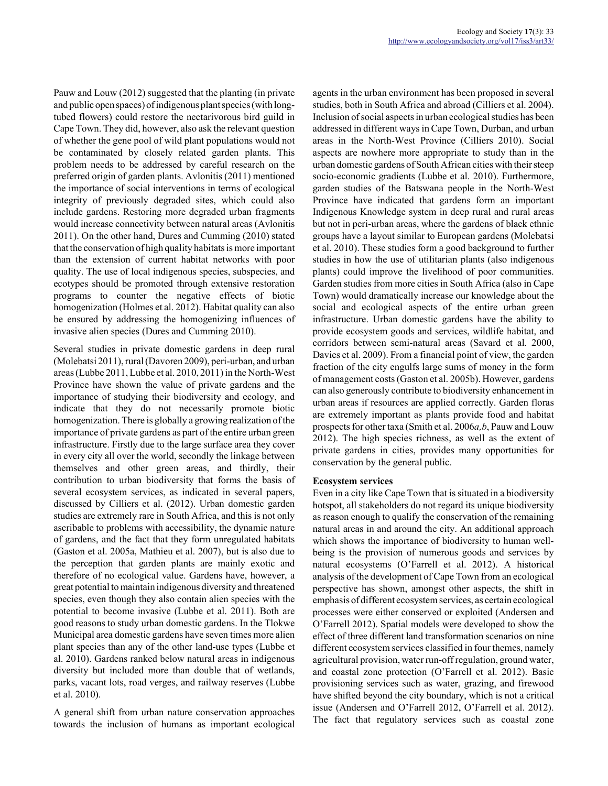Pauw and Louw (2012) suggested that the planting (in private and public open spaces) of indigenous plant species (with longtubed flowers) could restore the nectarivorous bird guild in Cape Town. They did, however, also ask the relevant question of whether the gene pool of wild plant populations would not be contaminated by closely related garden plants. This problem needs to be addressed by careful research on the preferred origin of garden plants. Avlonitis (2011) mentioned the importance of social interventions in terms of ecological integrity of previously degraded sites, which could also include gardens. Restoring more degraded urban fragments would increase connectivity between natural areas (Avlonitis 2011). On the other hand, Dures and Cumming (2010) stated that the conservation of high quality habitats is more important than the extension of current habitat networks with poor quality. The use of local indigenous species, subspecies, and ecotypes should be promoted through extensive restoration programs to counter the negative effects of biotic homogenization (Holmes et al. 2012). Habitat quality can also be ensured by addressing the homogenizing influences of invasive alien species (Dures and Cumming 2010).

Several studies in private domestic gardens in deep rural (Molebatsi 2011), rural (Davoren 2009), peri-urban, and urban areas (Lubbe 2011, Lubbe et al. 2010, 2011) in the North-West Province have shown the value of private gardens and the importance of studying their biodiversity and ecology, and indicate that they do not necessarily promote biotic homogenization. There is globally a growing realization of the importance of private gardens as part of the entire urban green infrastructure. Firstly due to the large surface area they cover in every city all over the world, secondly the linkage between themselves and other green areas, and thirdly, their contribution to urban biodiversity that forms the basis of several ecosystem services, as indicated in several papers, discussed by Cilliers et al. (2012). Urban domestic garden studies are extremely rare in South Africa, and this is not only ascribable to problems with accessibility, the dynamic nature of gardens, and the fact that they form unregulated habitats (Gaston et al. 2005a, Mathieu et al. 2007), but is also due to the perception that garden plants are mainly exotic and therefore of no ecological value. Gardens have, however, a great potential to maintain indigenous diversity and threatened species, even though they also contain alien species with the potential to become invasive (Lubbe et al. 2011). Both are good reasons to study urban domestic gardens. In the Tlokwe Municipal area domestic gardens have seven times more alien plant species than any of the other land-use types (Lubbe et al. 2010). Gardens ranked below natural areas in indigenous diversity but included more than double that of wetlands, parks, vacant lots, road verges, and railway reserves (Lubbe et al. 2010).

A general shift from urban nature conservation approaches towards the inclusion of humans as important ecological agents in the urban environment has been proposed in several studies, both in South Africa and abroad (Cilliers et al. 2004). Inclusion of social aspects in urban ecological studies has been addressed in different ways in Cape Town, Durban, and urban areas in the North-West Province (Cilliers 2010). Social aspects are nowhere more appropriate to study than in the urban domestic gardens of South African cities with their steep socio-economic gradients (Lubbe et al. 2010). Furthermore, garden studies of the Batswana people in the North-West Province have indicated that gardens form an important Indigenous Knowledge system in deep rural and rural areas but not in peri-urban areas, where the gardens of black ethnic groups have a layout similar to European gardens (Molebatsi et al. 2010). These studies form a good background to further studies in how the use of utilitarian plants (also indigenous plants) could improve the livelihood of poor communities. Garden studies from more cities in South Africa (also in Cape Town) would dramatically increase our knowledge about the social and ecological aspects of the entire urban green infrastructure. Urban domestic gardens have the ability to provide ecosystem goods and services, wildlife habitat, and corridors between semi-natural areas (Savard et al. 2000, Davies et al. 2009). From a financial point of view, the garden fraction of the city engulfs large sums of money in the form of management costs (Gaston et al. 2005b). However, gardens can also generously contribute to biodiversity enhancement in urban areas if resources are applied correctly. Garden floras are extremely important as plants provide food and habitat prospects for other taxa (Smith et al. 2006*a,b*, Pauw and Louw 2012). The high species richness, as well as the extent of private gardens in cities, provides many opportunities for conservation by the general public.

#### **Ecosystem services**

Even in a city like Cape Town that is situated in a biodiversity hotspot, all stakeholders do not regard its unique biodiversity as reason enough to qualify the conservation of the remaining natural areas in and around the city. An additional approach which shows the importance of biodiversity to human wellbeing is the provision of numerous goods and services by natural ecosystems (O'Farrell et al. 2012). A historical analysis of the development of Cape Town from an ecological perspective has shown, amongst other aspects, the shift in emphasis of different ecosystem services, as certain ecological processes were either conserved or exploited (Andersen and O'Farrell 2012). Spatial models were developed to show the effect of three different land transformation scenarios on nine different ecosystem services classified in four themes, namely agricultural provision, water run-off regulation, ground water, and coastal zone protection (O'Farrell et al. 2012). Basic provisioning services such as water, grazing, and firewood have shifted beyond the city boundary, which is not a critical issue (Andersen and O'Farrell 2012, O'Farrell et al. 2012). The fact that regulatory services such as coastal zone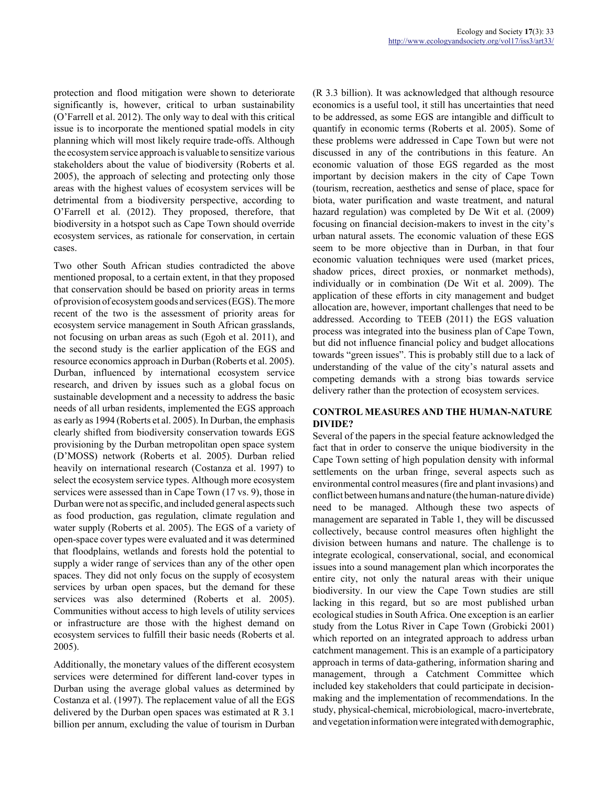protection and flood mitigation were shown to deteriorate significantly is, however, critical to urban sustainability (O'Farrell et al. 2012). The only way to deal with this critical issue is to incorporate the mentioned spatial models in city planning which will most likely require trade-offs. Although the ecosystem service approach is valuable to sensitize various stakeholders about the value of biodiversity (Roberts et al. 2005), the approach of selecting and protecting only those areas with the highest values of ecosystem services will be detrimental from a biodiversity perspective, according to O'Farrell et al. (2012). They proposed, therefore, that biodiversity in a hotspot such as Cape Town should override ecosystem services, as rationale for conservation, in certain cases.

Two other South African studies contradicted the above mentioned proposal, to a certain extent, in that they proposed that conservation should be based on priority areas in terms of provision of ecosystem goods and services (EGS). The more recent of the two is the assessment of priority areas for ecosystem service management in South African grasslands, not focusing on urban areas as such (Egoh et al. 2011), and the second study is the earlier application of the EGS and resource economics approach in Durban (Roberts et al. 2005). Durban, influenced by international ecosystem service research, and driven by issues such as a global focus on sustainable development and a necessity to address the basic needs of all urban residents, implemented the EGS approach as early as 1994 (Roberts et al. 2005). In Durban, the emphasis clearly shifted from biodiversity conservation towards EGS provisioning by the Durban metropolitan open space system (D'MOSS) network (Roberts et al. 2005). Durban relied heavily on international research (Costanza et al. 1997) to select the ecosystem service types. Although more ecosystem services were assessed than in Cape Town (17 vs. 9), those in Durban were not as specific, and included general aspects such as food production, gas regulation, climate regulation and water supply (Roberts et al. 2005). The EGS of a variety of open-space cover types were evaluated and it was determined that floodplains, wetlands and forests hold the potential to supply a wider range of services than any of the other open spaces. They did not only focus on the supply of ecosystem services by urban open spaces, but the demand for these services was also determined (Roberts et al. 2005). Communities without access to high levels of utility services or infrastructure are those with the highest demand on ecosystem services to fulfill their basic needs (Roberts et al. 2005).

Additionally, the monetary values of the different ecosystem services were determined for different land-cover types in Durban using the average global values as determined by Costanza et al. (1997). The replacement value of all the EGS delivered by the Durban open spaces was estimated at R 3.1 billion per annum, excluding the value of tourism in Durban (R 3.3 billion). It was acknowledged that although resource economics is a useful tool, it still has uncertainties that need to be addressed, as some EGS are intangible and difficult to quantify in economic terms (Roberts et al. 2005). Some of these problems were addressed in Cape Town but were not discussed in any of the contributions in this feature. An economic valuation of those EGS regarded as the most important by decision makers in the city of Cape Town (tourism, recreation, aesthetics and sense of place, space for biota, water purification and waste treatment, and natural hazard regulation) was completed by De Wit et al. (2009) focusing on financial decision-makers to invest in the city's urban natural assets. The economic valuation of these EGS seem to be more objective than in Durban, in that four economic valuation techniques were used (market prices, shadow prices, direct proxies, or nonmarket methods), individually or in combination (De Wit et al. 2009). The application of these efforts in city management and budget allocation are, however, important challenges that need to be addressed. According to TEEB (2011) the EGS valuation process was integrated into the business plan of Cape Town, but did not influence financial policy and budget allocations towards "green issues". This is probably still due to a lack of understanding of the value of the city's natural assets and competing demands with a strong bias towards service delivery rather than the protection of ecosystem services.

## **CONTROL MEASURES AND THE HUMAN-NATURE DIVIDE?**

Several of the papers in the special feature acknowledged the fact that in order to conserve the unique biodiversity in the Cape Town setting of high population density with informal settlements on the urban fringe, several aspects such as environmental control measures (fire and plant invasions) and conflict between humans and nature (the human-nature divide) need to be managed. Although these two aspects of management are separated in Table 1, they will be discussed collectively, because control measures often highlight the division between humans and nature. The challenge is to integrate ecological, conservational, social, and economical issues into a sound management plan which incorporates the entire city, not only the natural areas with their unique biodiversity. In our view the Cape Town studies are still lacking in this regard, but so are most published urban ecological studies in South Africa. One exception is an earlier study from the Lotus River in Cape Town (Grobicki 2001) which reported on an integrated approach to address urban catchment management. This is an example of a participatory approach in terms of data-gathering, information sharing and management, through a Catchment Committee which included key stakeholders that could participate in decisionmaking and the implementation of recommendations. In the study, physical-chemical, microbiological, macro-invertebrate, and vegetation information were integrated with demographic,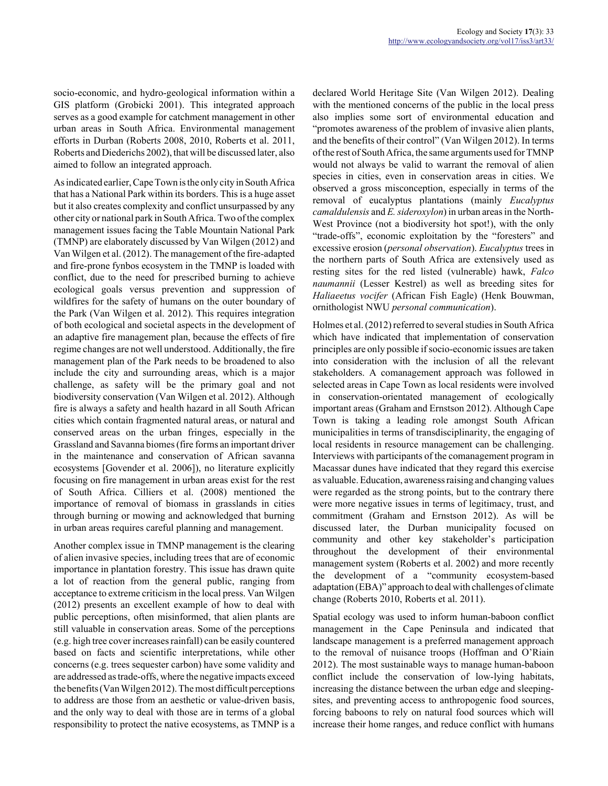socio-economic, and hydro-geological information within a GIS platform (Grobicki 2001). This integrated approach serves as a good example for catchment management in other urban areas in South Africa. Environmental management efforts in Durban (Roberts 2008, 2010, Roberts et al. 2011, Roberts and Diederichs 2002), that will be discussed later, also aimed to follow an integrated approach.

As indicated earlier, Cape Town is the only city in South Africa that has a National Park within its borders. This is a huge asset but it also creates complexity and conflict unsurpassed by any other city or national park in South Africa. Two of the complex management issues facing the Table Mountain National Park (TMNP) are elaborately discussed by Van Wilgen (2012) and Van Wilgen et al. (2012). The management of the fire-adapted and fire-prone fynbos ecosystem in the TMNP is loaded with conflict, due to the need for prescribed burning to achieve ecological goals versus prevention and suppression of wildfires for the safety of humans on the outer boundary of the Park (Van Wilgen et al. 2012). This requires integration of both ecological and societal aspects in the development of an adaptive fire management plan, because the effects of fire regime changes are not well understood. Additionally, the fire management plan of the Park needs to be broadened to also include the city and surrounding areas, which is a major challenge, as safety will be the primary goal and not biodiversity conservation (Van Wilgen et al. 2012). Although fire is always a safety and health hazard in all South African cities which contain fragmented natural areas, or natural and conserved areas on the urban fringes, especially in the Grassland and Savanna biomes (fire forms an important driver in the maintenance and conservation of African savanna ecosystems [Govender et al. 2006]), no literature explicitly focusing on fire management in urban areas exist for the rest of South Africa. Cilliers et al. (2008) mentioned the importance of removal of biomass in grasslands in cities through burning or mowing and acknowledged that burning in urban areas requires careful planning and management.

Another complex issue in TMNP management is the clearing of alien invasive species, including trees that are of economic importance in plantation forestry. This issue has drawn quite a lot of reaction from the general public, ranging from acceptance to extreme criticism in the local press. Van Wilgen (2012) presents an excellent example of how to deal with public perceptions, often misinformed, that alien plants are still valuable in conservation areas. Some of the perceptions (e.g. high tree cover increases rainfall) can be easily countered based on facts and scientific interpretations, while other concerns (e.g. trees sequester carbon) have some validity and are addressed as trade-offs, where the negative impacts exceed the benefits (Van Wilgen 2012). The most difficult perceptions to address are those from an aesthetic or value-driven basis, and the only way to deal with those are in terms of a global responsibility to protect the native ecosystems, as TMNP is a declared World Heritage Site (Van Wilgen 2012). Dealing with the mentioned concerns of the public in the local press also implies some sort of environmental education and "promotes awareness of the problem of invasive alien plants, and the benefits of their control" (Van Wilgen 2012). In terms of the rest of South Africa, the same arguments used for TMNP would not always be valid to warrant the removal of alien species in cities, even in conservation areas in cities. We observed a gross misconception, especially in terms of the removal of eucalyptus plantations (mainly *Eucalyptus camaldulensis* and *E. sideroxylon*) in urban areas in the North-West Province (not a biodiversity hot spot!), with the only "trade-offs", economic exploitation by the "foresters" and excessive erosion (*personal observation*). *Eucalyptus* trees in the northern parts of South Africa are extensively used as resting sites for the red listed (vulnerable) hawk, *Falco naumannii* (Lesser Kestrel) as well as breeding sites for *Haliaeetus vocifer* (African Fish Eagle) (Henk Bouwman, ornithologist NWU *personal communication*).

Holmes et al. (2012) referred to several studies in South Africa which have indicated that implementation of conservation principles are only possible if socio-economic issues are taken into consideration with the inclusion of all the relevant stakeholders. A comanagement approach was followed in selected areas in Cape Town as local residents were involved in conservation-orientated management of ecologically important areas (Graham and Ernstson 2012). Although Cape Town is taking a leading role amongst South African municipalities in terms of transdisciplinarity, the engaging of local residents in resource management can be challenging. Interviews with participants of the comanagement program in Macassar dunes have indicated that they regard this exercise as valuable. Education, awareness raising and changing values were regarded as the strong points, but to the contrary there were more negative issues in terms of legitimacy, trust, and commitment (Graham and Ernstson 2012). As will be discussed later, the Durban municipality focused on community and other key stakeholder's participation throughout the development of their environmental management system (Roberts et al. 2002) and more recently the development of a "community ecosystem-based adaptation (EBA)" approach to deal with challenges of climate change (Roberts 2010, Roberts et al. 2011).

Spatial ecology was used to inform human-baboon conflict management in the Cape Peninsula and indicated that landscape management is a preferred management approach to the removal of nuisance troops (Hoffman and O'Riain 2012). The most sustainable ways to manage human-baboon conflict include the conservation of low-lying habitats, increasing the distance between the urban edge and sleepingsites, and preventing access to anthropogenic food sources, forcing baboons to rely on natural food sources which will increase their home ranges, and reduce conflict with humans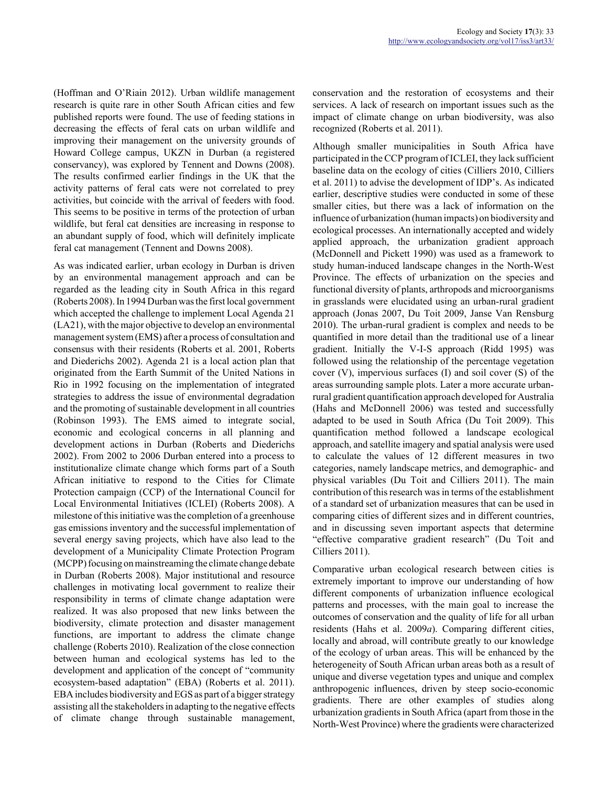(Hoffman and O'Riain 2012). Urban wildlife management research is quite rare in other South African cities and few published reports were found. The use of feeding stations in decreasing the effects of feral cats on urban wildlife and improving their management on the university grounds of Howard College campus, UKZN in Durban (a registered conservancy), was explored by Tennent and Downs (2008). The results confirmed earlier findings in the UK that the activity patterns of feral cats were not correlated to prey activities, but coincide with the arrival of feeders with food. This seems to be positive in terms of the protection of urban wildlife, but feral cat densities are increasing in response to an abundant supply of food, which will definitely implicate feral cat management (Tennent and Downs 2008).

As was indicated earlier, urban ecology in Durban is driven by an environmental management approach and can be regarded as the leading city in South Africa in this regard (Roberts 2008). In 1994 Durban was the first local government which accepted the challenge to implement Local Agenda 21 (LA21), with the major objective to develop an environmental management system (EMS) after a process of consultation and consensus with their residents (Roberts et al. 2001, Roberts and Diederichs 2002). Agenda 21 is a local action plan that originated from the Earth Summit of the United Nations in Rio in 1992 focusing on the implementation of integrated strategies to address the issue of environmental degradation and the promoting of sustainable development in all countries (Robinson 1993). The EMS aimed to integrate social, economic and ecological concerns in all planning and development actions in Durban (Roberts and Diederichs 2002). From 2002 to 2006 Durban entered into a process to institutionalize climate change which forms part of a South African initiative to respond to the Cities for Climate Protection campaign (CCP) of the International Council for Local Environmental Initiatives (ICLEI) (Roberts 2008). A milestone of this initiative was the completion of a greenhouse gas emissions inventory and the successful implementation of several energy saving projects, which have also lead to the development of a Municipality Climate Protection Program (MCPP) focusing on mainstreaming the climate change debate in Durban (Roberts 2008). Major institutional and resource challenges in motivating local government to realize their responsibility in terms of climate change adaptation were realized. It was also proposed that new links between the biodiversity, climate protection and disaster management functions, are important to address the climate change challenge (Roberts 2010). Realization of the close connection between human and ecological systems has led to the development and application of the concept of "community ecosystem-based adaptation" (EBA) (Roberts et al. 2011). EBA includes biodiversity and EGS as part of a bigger strategy assisting all the stakeholders in adapting to the negative effects of climate change through sustainable management,

conservation and the restoration of ecosystems and their services. A lack of research on important issues such as the impact of climate change on urban biodiversity, was also recognized (Roberts et al. 2011).

Although smaller municipalities in South Africa have participated in the CCP program of ICLEI, they lack sufficient baseline data on the ecology of cities (Cilliers 2010, Cilliers et al. 2011) to advise the development of IDP's. As indicated earlier, descriptive studies were conducted in some of these smaller cities, but there was a lack of information on the influence of urbanization (human impacts) on biodiversity and ecological processes. An internationally accepted and widely applied approach, the urbanization gradient approach (McDonnell and Pickett 1990) was used as a framework to study human-induced landscape changes in the North-West Province. The effects of urbanization on the species and functional diversity of plants, arthropods and microorganisms in grasslands were elucidated using an urban-rural gradient approach (Jonas 2007, Du Toit 2009, Janse Van Rensburg 2010). The urban-rural gradient is complex and needs to be quantified in more detail than the traditional use of a linear gradient. Initially the V-I-S approach (Ridd 1995) was followed using the relationship of the percentage vegetation cover (V), impervious surfaces (I) and soil cover (S) of the areas surrounding sample plots. Later a more accurate urbanrural gradient quantification approach developed for Australia (Hahs and McDonnell 2006) was tested and successfully adapted to be used in South Africa (Du Toit 2009). This quantification method followed a landscape ecological approach, and satellite imagery and spatial analysis were used to calculate the values of 12 different measures in two categories, namely landscape metrics, and demographic- and physical variables (Du Toit and Cilliers 2011). The main contribution of this research was in terms of the establishment of a standard set of urbanization measures that can be used in comparing cities of different sizes and in different countries, and in discussing seven important aspects that determine "effective comparative gradient research" (Du Toit and Cilliers 2011).

Comparative urban ecological research between cities is extremely important to improve our understanding of how different components of urbanization influence ecological patterns and processes, with the main goal to increase the outcomes of conservation and the quality of life for all urban residents (Hahs et al. 2009*a*). Comparing different cities, locally and abroad, will contribute greatly to our knowledge of the ecology of urban areas. This will be enhanced by the heterogeneity of South African urban areas both as a result of unique and diverse vegetation types and unique and complex anthropogenic influences, driven by steep socio-economic gradients. There are other examples of studies along urbanization gradients in South Africa (apart from those in the North-West Province) where the gradients were characterized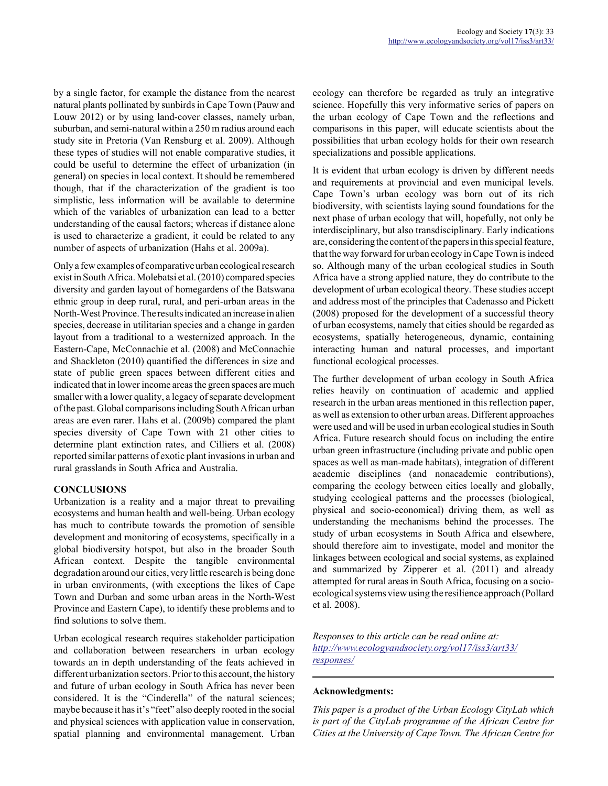by a single factor, for example the distance from the nearest natural plants pollinated by sunbirds in Cape Town (Pauw and Louw 2012) or by using land-cover classes, namely urban, suburban, and semi-natural within a 250 m radius around each study site in Pretoria (Van Rensburg et al. 2009). Although these types of studies will not enable comparative studies, it could be useful to determine the effect of urbanization (in general) on species in local context. It should be remembered though, that if the characterization of the gradient is too simplistic, less information will be available to determine which of the variables of urbanization can lead to a better understanding of the causal factors; whereas if distance alone is used to characterize a gradient, it could be related to any number of aspects of urbanization (Hahs et al. 2009a).

Only a few examples of comparative urban ecological research exist in South Africa. Molebatsi et al. (2010) compared species diversity and garden layout of homegardens of the Batswana ethnic group in deep rural, rural, and peri-urban areas in the North-West Province. The results indicated an increase in alien species, decrease in utilitarian species and a change in garden layout from a traditional to a westernized approach. In the Eastern-Cape, McConnachie et al. (2008) and McConnachie and Shackleton (2010) quantified the differences in size and state of public green spaces between different cities and indicated that in lower income areas the green spaces are much smaller with a lower quality, a legacy of separate development of the past. Global comparisons including South African urban areas are even rarer. Hahs et al. (2009b) compared the plant species diversity of Cape Town with 21 other cities to determine plant extinction rates, and Cilliers et al. (2008) reported similar patterns of exotic plant invasions in urban and rural grasslands in South Africa and Australia.

## **CONCLUSIONS**

Urbanization is a reality and a major threat to prevailing ecosystems and human health and well-being. Urban ecology has much to contribute towards the promotion of sensible development and monitoring of ecosystems, specifically in a global biodiversity hotspot, but also in the broader South African context. Despite the tangible environmental degradation around our cities, very little research is being done in urban environments, (with exceptions the likes of Cape Town and Durban and some urban areas in the North-West Province and Eastern Cape), to identify these problems and to find solutions to solve them.

Urban ecological research requires stakeholder participation and collaboration between researchers in urban ecology towards an in depth understanding of the feats achieved in different urbanization sectors. Prior to this account, the history and future of urban ecology in South Africa has never been considered. It is the "Cinderella" of the natural sciences; maybe because it has it's "feet" also deeply rooted in the social and physical sciences with application value in conservation, spatial planning and environmental management. Urban ecology can therefore be regarded as truly an integrative science. Hopefully this very informative series of papers on the urban ecology of Cape Town and the reflections and comparisons in this paper, will educate scientists about the possibilities that urban ecology holds for their own research specializations and possible applications.

It is evident that urban ecology is driven by different needs and requirements at provincial and even municipal levels. Cape Town's urban ecology was born out of its rich biodiversity, with scientists laying sound foundations for the next phase of urban ecology that will, hopefully, not only be interdisciplinary, but also transdisciplinary. Early indications are, considering the content of the papers in this special feature, that the way forward for urban ecology in Cape Town is indeed so. Although many of the urban ecological studies in South Africa have a strong applied nature, they do contribute to the development of urban ecological theory. These studies accept and address most of the principles that Cadenasso and Pickett (2008) proposed for the development of a successful theory of urban ecosystems, namely that cities should be regarded as ecosystems, spatially heterogeneous, dynamic, containing interacting human and natural processes, and important functional ecological processes.

The further development of urban ecology in South Africa relies heavily on continuation of academic and applied research in the urban areas mentioned in this reflection paper, as well as extension to other urban areas. Different approaches were used and will be used in urban ecological studies in South Africa. Future research should focus on including the entire urban green infrastructure (including private and public open spaces as well as man-made habitats), integration of different academic disciplines (and nonacademic contributions), comparing the ecology between cities locally and globally, studying ecological patterns and the processes (biological, physical and socio-economical) driving them, as well as understanding the mechanisms behind the processes. The study of urban ecosystems in South Africa and elsewhere, should therefore aim to investigate, model and monitor the linkages between ecological and social systems, as explained and summarized by Zipperer et al. (2011) and already attempted for rural areas in South Africa, focusing on a socioecological systems view using the resilience approach (Pollard et al. 2008).

*Responses to this article can be read online at: http://www.ecologyandsociety.org/vol17/iss3/art33/ responses/*

## **Acknowledgments:**

*This paper is a product of the Urban Ecology CityLab which is part of the CityLab programme of the African Centre for Cities at the University of Cape Town. The African Centre for*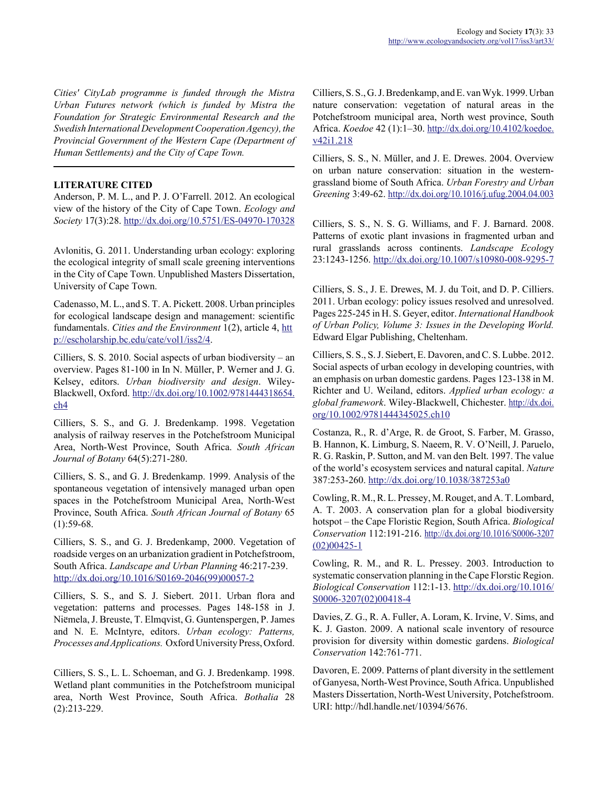*Cities' CityLab programme is funded through the Mistra Urban Futures network (which is funded by Mistra the Foundation for Strategic Environmental Research and the Swedish International Development Cooperation Agency), the Provincial Government of the Western Cape (Department of Human Settlements) and the City of Cape Town.*

## **LITERATURE CITED**

Anderson, P. M. L., and P. J. O'Farrell. 2012. An ecological view of the history of the City of Cape Town. *Ecology and Society* 17(3):28. http://dx.doi.org/10.5751/ES-04970-170328

Avlonitis, G. 2011. Understanding urban ecology: exploring the ecological integrity of small scale greening interventions in the City of Cape Town. Unpublished Masters Dissertation, University of Cape Town.

Cadenasso, M. L., and S. T. A. Pickett. 2008. Urban principles for ecological landscape design and management: scientific fundamentals. *Cities and the Environment* 1(2), article 4, htt p://escholarship.bc.edu/cate/vol1/iss2/4.

Cilliers, S. S. 2010. Social aspects of urban biodiversity – an overview. Pages 81-100 in In N. Müller, P. Werner and J. G. Kelsey, editors. *Urban biodiversity and design*. Wiley-Blackwell, Oxford. http://dx.doi.org/10.1002/9781444318654. ch4

Cilliers, S. S., and G. J. Bredenkamp. 1998. Vegetation analysis of railway reserves in the Potchefstroom Municipal Area, North-West Province, South Africa. *South African Journal of Botany* 64(5):271-280.

Cilliers, S. S., and G. J. Bredenkamp. 1999. Analysis of the spontaneous vegetation of intensively managed urban open spaces in the Potchefstroom Municipal Area, North-West Province, South Africa. *South African Journal of Botany* 65  $(1):59-68.$ 

Cilliers, S. S., and G. J. Bredenkamp, 2000. Vegetation of roadside verges on an urbanization gradient in Potchefstroom, South Africa. *Landscape and Urban Planning* 46:217-239. http://dx.doi.org/10.1016/S0169-2046(99)00057-2

Cilliers, S. S., and S. J. Siebert. 2011. Urban flora and vegetation: patterns and processes. Pages 148-158 in J. Niemela, J. Breuste, T. Elmqvist, G. Guntenspergen, P. James ..and N. E. McIntyre, editors. *Urban ecology: Patterns, Processes and Applications.* Oxford University Press, Oxford.

Cilliers, S. S., L. L. Schoeman, and G. J. Bredenkamp. 1998. Wetland plant communities in the Potchefstroom municipal area, North West Province, South Africa. *Bothalia* 28 (2):213-229.

Cilliers, S. S., G. J. Bredenkamp, and E. van Wyk. 1999. Urban nature conservation: vegetation of natural areas in the Potchefstroom municipal area, North west province, South Africa. *Koedoe* 42 (1):1–30. http://dx.doi.org/10.4102/koedoe. v42i1.218

Cilliers, S. S., N. Müller, and J. E. Drewes. 2004. Overview on urban nature conservation: situation in the westerngrassland biome of South Africa. *Urban Forestry and Urban Greening* 3:49-62. http://dx.doi.org/10.1016/j.ufug.2004.04.003

Cilliers, S. S., N. S. G. Williams, and F. J. Barnard. 2008. Patterns of exotic plant invasions in fragmented urban and rural grasslands across continents. *Landscape Ecolog*y 23:1243-1256. http://dx.doi.org/10.1007/s10980-008-9295-7

Cilliers, S. S., J. E. Drewes, M. J. du Toit, and D. P. Cilliers. 2011. Urban ecology: policy issues resolved and unresolved. Pages 225-245 in H. S. Geyer, editor. *International Handbook of Urban Policy, Volume 3: Issues in the Developing World.* Edward Elgar Publishing, Cheltenham.

Cilliers, S. S., S. J. Siebert, E. Davoren, and C. S. Lubbe. 2012. Social aspects of urban ecology in developing countries, with an emphasis on urban domestic gardens. Pages 123-138 in M. Richter and U. Weiland, editors. *Applied urban ecology: a global framework*. Wiley-Blackwell, Chichester. http://dx.doi. org/10.1002/9781444345025.ch10

Costanza, R., R. d'Arge, R. de Groot, S. Farber, M. Grasso, B. Hannon, K. Limburg, S. Naeem, R. V. O'Neill, J. Paruelo, R. G. Raskin, P. Sutton, and M. van den Belt. 1997. The value of the world's ecosystem services and natural capital. *Nature* 387:253-260. http://dx.doi.org/10.1038/387253a0

Cowling, R. M., R. L. Pressey, M. Rouget, and A. T. Lombard, A. T. 2003. A conservation plan for a global biodiversity hotspot – the Cape Floristic Region, South Africa. *Biological Conservation* 112:191-216. http://dx.doi.org/10.1016/S0006-3207  $(02)00425 - 1$ 

Cowling, R. M., and R. L. Pressey. 2003. Introduction to systematic conservation planning in the Cape Florstic Region. *Biological Conservation* 112:1-13. http://dx.doi.org/10.1016/ S0006-3207(02)00418-4

Davies, Z. G., R. A. Fuller, A. Loram, K. Irvine, V. Sims, and K. J. Gaston. 2009. A national scale inventory of resource provision for diversity within domestic gardens. *Biological Conservation* 142:761-771.

Davoren, E. 2009. Patterns of plant diversity in the settlement of Ganyesa, North-West Province, South Africa. Unpublished Masters Dissertation, North-West University, Potchefstroom. URI: http://hdl.handle.net/10394/5676.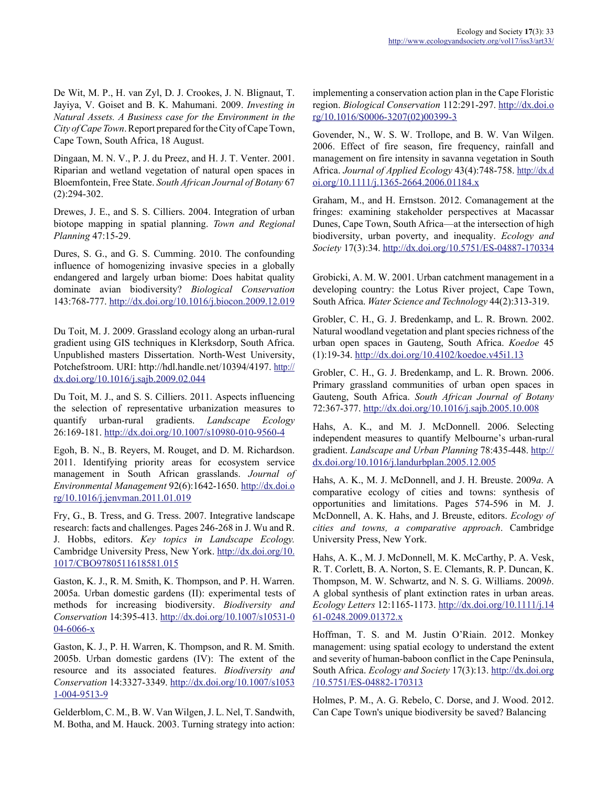De Wit, M. P., H. van Zyl, D. J. Crookes, J. N. Blignaut, T. Jayiya, V. Goiset and B. K. Mahumani. 2009. *Investing in Natural Assets. A Business case for the Environment in the City of Cape Town*. Report prepared for the City of Cape Town, Cape Town, South Africa, 18 August.

Dingaan, M. N. V., P. J. du Preez, and H. J. T. Venter. 2001. Riparian and wetland vegetation of natural open spaces in Bloemfontein, Free State. *South African Journal of Botany* 67 (2):294-302.

Drewes, J. E., and S. S. Cilliers. 2004. Integration of urban biotope mapping in spatial planning. *Town and Regional Planning* 47:15-29.

Dures, S. G., and G. S. Cumming. 2010. The confounding influence of homogenizing invasive species in a globally endangered and largely urban biome: Does habitat quality dominate avian biodiversity? *Biological Conservation* 143:768-777. http://dx.doi.org/10.1016/j.biocon.2009.12.019

Du Toit, M. J. 2009. Grassland ecology along an urban-rural gradient using GIS techniques in Klerksdorp, South Africa. Unpublished masters Dissertation. North-West University, Potchefstroom. URI: http://hdl.handle.net/10394/4197. http:// dx.doi.org/10.1016/j.sajb.2009.02.044

Du Toit, M. J., and S. S. Cilliers. 2011. Aspects influencing the selection of representative urbanization measures to quantify urban-rural gradients. *Landscape Ecology* 26:169-181. http://dx.doi.org/10.1007/s10980-010-9560-4

Egoh, B. N., B. Reyers, M. Rouget, and D. M. Richardson. 2011. Identifying priority areas for ecosystem service management in South African grasslands. *Journal of Environmental Management* 92(6):1642-1650. http://dx.doi.o rg/10.1016/j.jenvman.2011.01.019

Fry, G., B. Tress, and G. Tress. 2007. Integrative landscape research: facts and challenges. Pages 246-268 in J. Wu and R. J. Hobbs, editors. *Key topics in Landscape Ecology.* Cambridge University Press, New York. http://dx.doi.org/10. 1017/CBO9780511618581.015

Gaston, K. J., R. M. Smith, K. Thompson, and P. H. Warren. 2005a. Urban domestic gardens (II): experimental tests of methods for increasing biodiversity. *Biodiversity and Conservation* 14:395-413. http://dx.doi.org/10.1007/s10531-0 04-6066-x

Gaston, K. J., P. H. Warren, K. Thompson, and R. M. Smith. 2005b. Urban domestic gardens (IV): The extent of the resource and its associated features. *Biodiversity and Conservation* 14:3327-3349. http://dx.doi.org/10.1007/s1053 1-004-9513-9

Gelderblom, C. M., B. W. Van Wilgen, J. L. Nel, T. Sandwith, M. Botha, and M. Hauck. 2003. Turning strategy into action: implementing a conservation action plan in the Cape Floristic region. *Biological Conservation* 112:291-297. http://dx.doi.o rg/10.1016/S0006-3207(02)00399-3

Govender, N., W. S. W. Trollope, and B. W. Van Wilgen. 2006. Effect of fire season, fire frequency, rainfall and management on fire intensity in savanna vegetation in South Africa. *Journal of Applied Ecology* 43(4):748-758. http://dx.d oi.org/10.1111/j.1365-2664.2006.01184.x

Graham, M., and H. Ernstson. 2012. Comanagement at the fringes: examining stakeholder perspectives at Macassar Dunes, Cape Town, South Africa—at the intersection of high biodiversity, urban poverty, and inequality. *Ecology and Society* 17(3):34. http://dx.doi.org/10.5751/ES-04887-170334

Grobicki, A. M. W. 2001. Urban catchment management in a developing country: the Lotus River project, Cape Town, South Africa. *Water Science and Technology* 44(2):313-319.

Grobler, C. H., G. J. Bredenkamp, and L. R. Brown. 2002. Natural woodland vegetation and plant species richness of the urban open spaces in Gauteng, South Africa. *Koedoe* 45 (1):19-34. http://dx.doi.org/10.4102/koedoe.v45i1.13

Grobler, C. H., G. J. Bredenkamp, and L. R. Brown. 2006. Primary grassland communities of urban open spaces in Gauteng, South Africa. *South African Journal of Botany* 72:367-377. http://dx.doi.org/10.1016/j.sajb.2005.10.008

Hahs, A. K., and M. J. McDonnell. 2006. Selecting independent measures to quantify Melbourne's urban-rural gradient. *Landscape and Urban Planning* 78:435-448. http:// dx.doi.org/10.1016/j.landurbplan.2005.12.005

Hahs, A. K., M. J. McDonnell, and J. H. Breuste. 2009*a*. A comparative ecology of cities and towns: synthesis of opportunities and limitations. Pages 574-596 in M. J. McDonnell, A. K. Hahs, and J. Breuste, editors. *Ecology of cities and towns, a comparative approach*. Cambridge University Press, New York.

Hahs, A. K., M. J. McDonnell, M. K. McCarthy, P. A. Vesk, R. T. Corlett, B. A. Norton, S. E. Clemants, R. P. Duncan, K. Thompson, M. W. Schwartz, and N. S. G. Williams. 2009*b*. A global synthesis of plant extinction rates in urban areas. *Ecology Letters* 12:1165-1173. http://dx.doi.org/10.1111/j.14 61-0248.2009.01372.x

Hoffman, T. S. and M. Justin O'Riain. 2012. Monkey management: using spatial ecology to understand the extent and severity of human-baboon conflict in the Cape Peninsula, South Africa. *Ecology and Society* 17(3):13. http://dx.doi.org /10.5751/ES-04882-170313

Holmes, P. M., A. G. Rebelo, C. Dorse, and J. Wood. 2012. Can Cape Town's unique biodiversity be saved? Balancing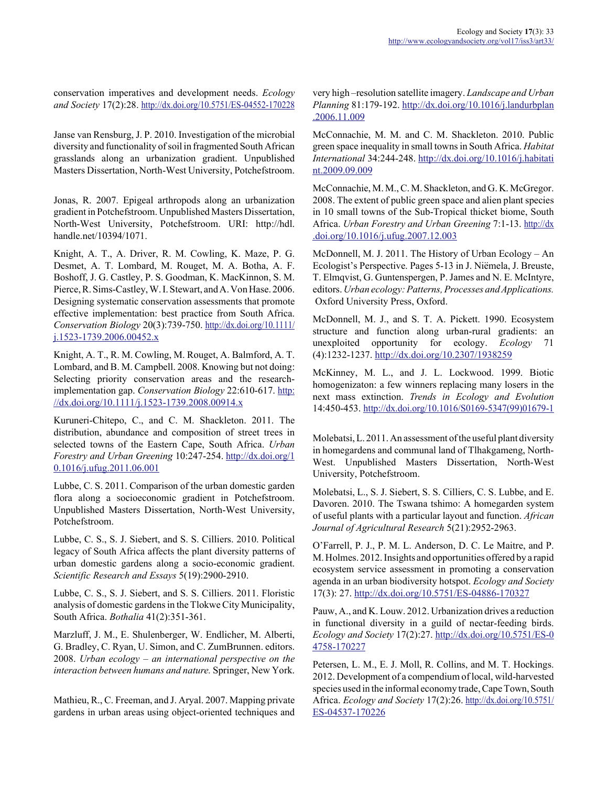conservation imperatives and development needs. *Ecology and Society* 17(2):28. http://dx.doi.org/10.5751/ES-04552-170228

Janse van Rensburg, J. P. 2010. Investigation of the microbial diversity and functionality of soil in fragmented South African grasslands along an urbanization gradient. Unpublished Masters Dissertation, North-West University, Potchefstroom.

Jonas, R. 2007. Epigeal arthropods along an urbanization gradient in Potchefstroom. Unpublished Masters Dissertation, North-West University, Potchefstroom. URI: http://hdl. handle.net/10394/1071.

Knight, A. T., A. Driver, R. M. Cowling, K. Maze, P. G. Desmet, A. T. Lombard, M. Rouget, M. A. Botha, A. F. Boshoff, J. G. Castley, P. S. Goodman, K. MacKinnon, S. M. Pierce, R. Sims-Castley, W. I. Stewart, and A. Von Hase. 2006. Designing systematic conservation assessments that promote effective implementation: best practice from South Africa. *Conservation Biology* 20(3):739-750. http://dx.doi.org/10.1111/ j.1523-1739.2006.00452.x

Knight, A. T., R. M. Cowling, M. Rouget, A. Balmford, A. T. Lombard, and B. M. Campbell. 2008. Knowing but not doing: Selecting priority conservation areas and the researchimplementation gap. *Conservation Biology* 22:610-617. http: //dx.doi.org/10.1111/j.1523-1739.2008.00914.x

Kuruneri-Chitepo, C., and C. M. Shackleton. 2011. The distribution, abundance and composition of street trees in selected towns of the Eastern Cape, South Africa. *Urban Forestry and Urban Greening* 10:247-254. http://dx.doi.org/1 0.1016/j.ufug.2011.06.001

Lubbe, C. S. 2011. Comparison of the urban domestic garden flora along a socioeconomic gradient in Potchefstroom. Unpublished Masters Dissertation, North-West University, Potchefstroom.

Lubbe, C. S., S. J. Siebert, and S. S. Cilliers. 2010. Political legacy of South Africa affects the plant diversity patterns of urban domestic gardens along a socio-economic gradient. *Scientific Research and Essays* 5(19):2900-2910.

Lubbe, C. S., S. J. Siebert, and S. S. Cilliers. 2011. Floristic analysis of domestic gardens in the Tlokwe City Municipality, South Africa. *Bothalia* 41(2):351-361.

Marzluff, J. M., E. Shulenberger, W. Endlicher, M. Alberti, G. Bradley, C. Ryan, U. Simon, and C. ZumBrunnen. editors. 2008. *Urban ecology – an international perspective on the interaction between humans and nature.* Springer, New York.

Mathieu, R., C. Freeman, and J. Aryal. 2007. Mapping private gardens in urban areas using object-oriented techniques and very high –resolution satellite imagery. *Landscape and Urban Planning* 81:179-192. http://dx.doi.org/10.1016/j.landurbplan .2006.11.009

McConnachie, M. M. and C. M. Shackleton. 2010. Public green space inequality in small towns in South Africa. *Habitat International* 34:244-248. http://dx.doi.org/10.1016/j.habitati nt.2009.09.009

McConnachie, M. M., C. M. Shackleton, and G. K. McGregor. 2008. The extent of public green space and alien plant species in 10 small towns of the Sub-Tropical thicket biome, South Africa. *Urban Forestry and Urban Greening* 7:1-13. http://dx .doi.org/10.1016/j.ufug.2007.12.003

McDonnell, M. J. 2011. The History of Urban Ecology – An Ecologist's Perspective. Pages 5-13 in J. Niëmela, J. Breuste, T. Elmqvist, G. Guntenspergen, P. James and N. E. McIntyre, editors. *Urban ecology: Patterns, Processes and Applications.* Oxford University Press, Oxford.

McDonnell, M. J., and S. T. A. Pickett. 1990. Ecosystem structure and function along urban-rural gradients: an unexploited opportunity for ecology. *Ecology* 71 (4):1232-1237. http://dx.doi.org/10.2307/1938259

McKinney, M. L., and J. L. Lockwood. 1999. Biotic homogenizaton: a few winners replacing many losers in the next mass extinction. *Trends in Ecology and Evolution* 14:450-453. http://dx.doi.org/10.1016/S0169-5347(99)01679-1

Molebatsi, L. 2011. An assessment of the useful plant diversity in homegardens and communal land of Tlhakgameng, North-West. Unpublished Masters Dissertation, North-West University, Potchefstroom.

Molebatsi, L., S. J. Siebert, S. S. Cilliers, C. S. Lubbe, and E. Davoren. 2010. The Tswana tshimo: A homegarden system of useful plants with a particular layout and function. *African Journal of Agricultural Research* 5(21):2952-2963.

O'Farrell, P. J., P. M. L. Anderson, D. C. Le Maitre, and P. M. Holmes. 2012. Insights and opportunities offered by a rapid ecosystem service assessment in promoting a conservation agenda in an urban biodiversity hotspot. *Ecology and Society* 17(3): 27. http://dx.doi.org/10.5751/ES-04886-170327

Pauw, A., and K. Louw. 2012. Urbanization drives a reduction in functional diversity in a guild of nectar-feeding birds. *Ecology and Society* 17(2):27. http://dx.doi.org/10.5751/ES-0 4758-170227

Petersen, L. M., E. J. Moll, R. Collins, and M. T. Hockings. 2012. Development of a compendium of local, wild-harvested species used in the informal economy trade, Cape Town, South Africa. *Ecology and Society* 17(2):26. http://dx.doi.org/10.5751/ ES-04537-170226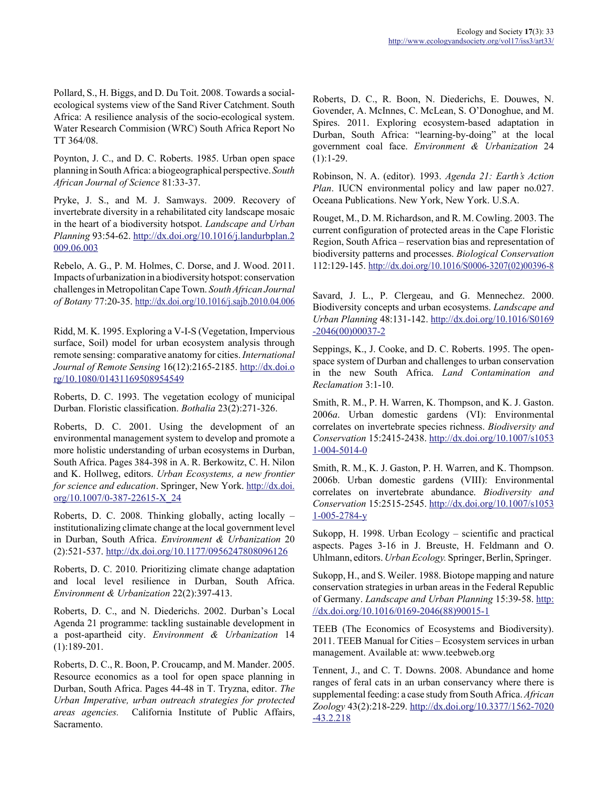Pollard, S., H. Biggs, and D. Du Toit. 2008. Towards a socialecological systems view of the Sand River Catchment. South Africa: A resilience analysis of the socio-ecological system. Water Research Commision (WRC) South Africa Report No TT 364/08.

Poynton, J. C., and D. C. Roberts. 1985. Urban open space planning in South Africa: a biogeographical perspective. *South African Journal of Science* 81:33-37.

Pryke, J. S., and M. J. Samways. 2009. Recovery of invertebrate diversity in a rehabilitated city landscape mosaic in the heart of a biodiversity hotspot. *Landscape and Urban Planning* 93:54-62. http://dx.doi.org/10.1016/j.landurbplan.2 009.06.003

Rebelo, A. G., P. M. Holmes, C. Dorse, and J. Wood. 2011. Impacts of urbanization in a biodiversity hotspot: conservation challenges in Metropolitan Cape Town. *South African Journal of Botany* 77:20-35. http://dx.doi.org/10.1016/j.sajb.2010.04.006

Ridd, M. K. 1995. Exploring a V-I-S (Vegetation, Impervious surface, Soil) model for urban ecosystem analysis through remote sensing: comparative anatomy for cities. *International Journal of Remote Sensing* 16(12):2165-2185. http://dx.doi.o rg/10.1080/01431169508954549

Roberts, D. C. 1993. The vegetation ecology of municipal Durban. Floristic classification. *Bothalia* 23(2):271-326.

Roberts, D. C. 2001. Using the development of an environmental management system to develop and promote a more holistic understanding of urban ecosystems in Durban, South Africa. Pages 384-398 in A. R. Berkowitz, C. H. Nilon and K. Hollweg, editors. *Urban Ecosystems, a new frontier for science and education*. Springer, New York. http://dx.doi. org/10.1007/0-387-22615-X\_24

Roberts, D. C. 2008. Thinking globally, acting locally – institutionalizing climate change at the local government level in Durban, South Africa. *Environment & Urbanization* 20 (2):521-537. http://dx.doi.org/10.1177/0956247808096126

Roberts, D. C. 2010. Prioritizing climate change adaptation and local level resilience in Durban, South Africa. *Environment & Urbanization* 22(2):397-413.

Roberts, D. C., and N. Diederichs. 2002. Durban's Local Agenda 21 programme: tackling sustainable development in a post-apartheid city. *Environment & Urbanization* 14 (1):189-201.

Roberts, D. C., R. Boon, P. Croucamp, and M. Mander. 2005. Resource economics as a tool for open space planning in Durban, South Africa. Pages 44-48 in T. Tryzna, editor. *The Urban Imperative, urban outreach strategies for protected areas agencies.* California Institute of Public Affairs, Sacramento.

Roberts, D. C., R. Boon, N. Diederichs, E. Douwes, N. Govender, A. McInnes, C. McLean, S. O'Donoghue, and M. Spires. 2011. Exploring ecosystem-based adaptation in Durban, South Africa: "learning-by-doing" at the local government coal face. *Environment & Urbanization* 24  $(1):1-29.$ 

Robinson, N. A. (editor). 1993. *Agenda 21: Earth's Action Plan*. IUCN environmental policy and law paper no.027. Oceana Publications. New York, New York. U.S.A.

Rouget, M., D. M. Richardson, and R. M. Cowling. 2003. The current configuration of protected areas in the Cape Floristic Region, South Africa – reservation bias and representation of biodiversity patterns and processes. *Biological Conservation* 112:129-145. http://dx.doi.org/10.1016/S0006-3207(02)00396-8

Savard, J. L., P. Clergeau, and G. Mennechez. 2000. Biodiversity concepts and urban ecosystems. *Landscape and Urban Planning* 48:131-142. http://dx.doi.org/10.1016/S0169 -2046(00)00037-2

Seppings, K., J. Cooke, and D. C. Roberts. 1995. The openspace system of Durban and challenges to urban conservation in the new South Africa. *Land Contamination and Reclamation* 3:1-10.

Smith, R. M., P. H. Warren, K. Thompson, and K. J. Gaston. 2006*a*. Urban domestic gardens (VI): Environmental correlates on invertebrate species richness. *Biodiversity and Conservation* 15:2415-2438. http://dx.doi.org/10.1007/s1053 1-004-5014-0

Smith, R. M., K. J. Gaston, P. H. Warren, and K. Thompson. 2006b. Urban domestic gardens (VIII): Environmental correlates on invertebrate abundance. *Biodiversity and Conservation* 15:2515-2545. http://dx.doi.org/10.1007/s1053 1-005-2784-y

Sukopp, H. 1998. Urban Ecology – scientific and practical aspects. Pages 3-16 in J. Breuste, H. Feldmann and O. Uhlmann, editors. *Urban Ecology.* Springer, Berlin, Springer.

Sukopp, H., and S. Weiler. 1988. Biotope mapping and nature conservation strategies in urban areas in the Federal Republic of Germany. *Landscape and Urban Planning* 15:39-58. http: //dx.doi.org/10.1016/0169-2046(88)90015-1

TEEB (The Economics of Ecosystems and Biodiversity). 2011. TEEB Manual for Cities – Ecosystem services in urban management. Available at: www.teebweb.org

Tennent, J., and C. T. Downs. 2008. Abundance and home ranges of feral cats in an urban conservancy where there is supplemental feeding: a case study from South Africa. *African Zoology* 43(2):218-229. http://dx.doi.org/10.3377/1562-7020 -43.2.218